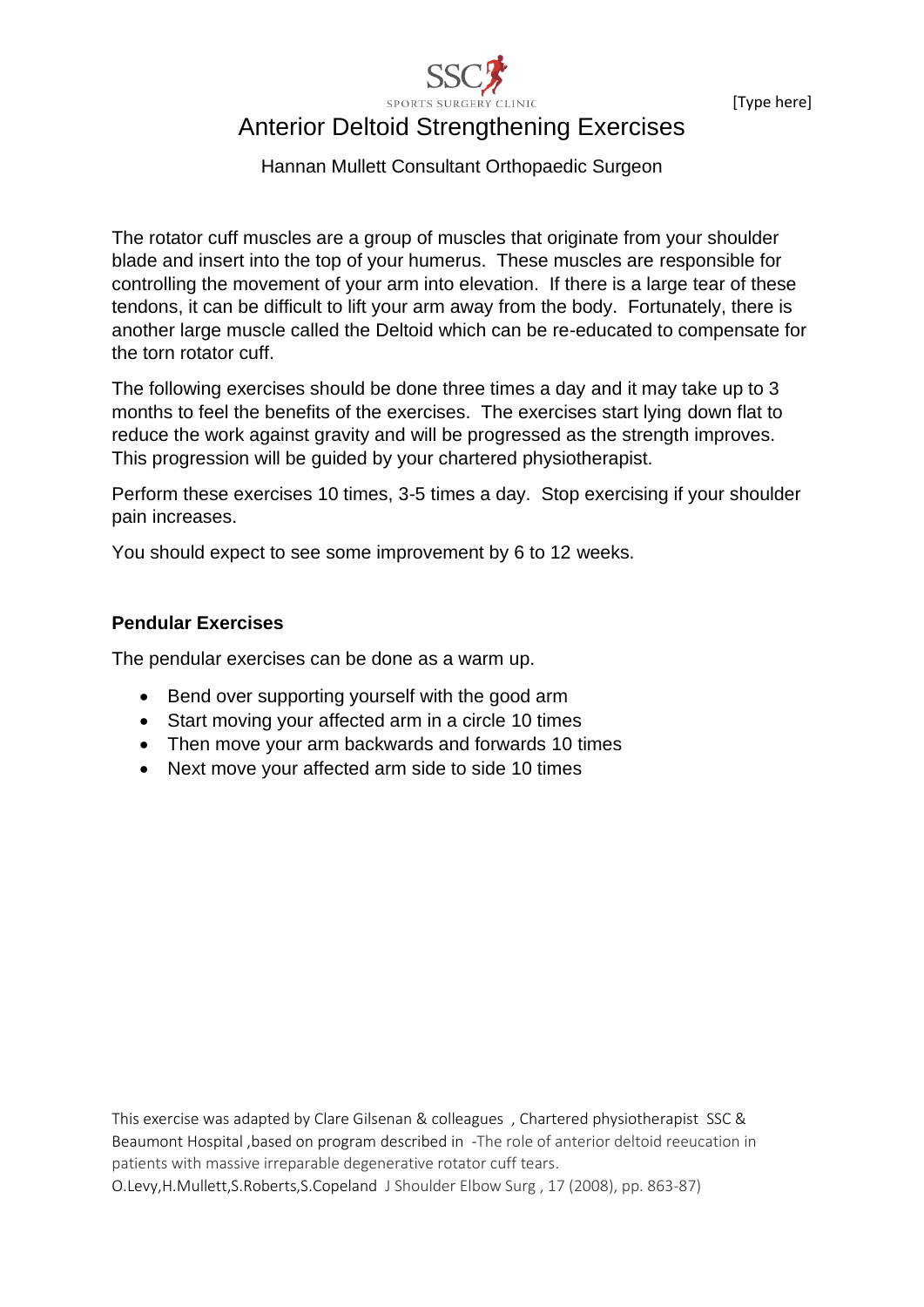[Type here]



# Anterior Deltoid Strengthening Exercises

Hannan Mullett Consultant Orthopaedic Surgeon

The rotator cuff muscles are a group of muscles that originate from your shoulder blade and insert into the top of your humerus. These muscles are responsible for controlling the movement of your arm into elevation. If there is a large tear of these tendons, it can be difficult to lift your arm away from the body. Fortunately, there is another large muscle called the Deltoid which can be re-educated to compensate for the torn rotator cuff.

The following exercises should be done three times a day and it may take up to 3 months to feel the benefits of the exercises. The exercises start lying down flat to reduce the work against gravity and will be progressed as the strength improves. This progression will be guided by your chartered physiotherapist.

Perform these exercises 10 times, 3-5 times a day. Stop exercising if your shoulder pain increases.

You should expect to see some improvement by 6 to 12 weeks.

## **Pendular Exercises**

The pendular exercises can be done as a warm up.

- Bend over supporting yourself with the good arm
- Start moving your affected arm in a circle 10 times
- Then move your arm backwards and forwards 10 times
- Next move your affected arm side to side 10 times

This exercise was adapted by Clare Gilsenan & colleagues , Chartered physiotherapist SSC & Beaumont Hospital ,based on program described in -The role of anterior deltoid reeucation in patients with massive irreparable degenerative rotator cuff tears.

O.Levy,H.Mullett,S.Roberts,S.Copeland J Shoulder Elbow Surg , 17 (2008), pp. 863-87)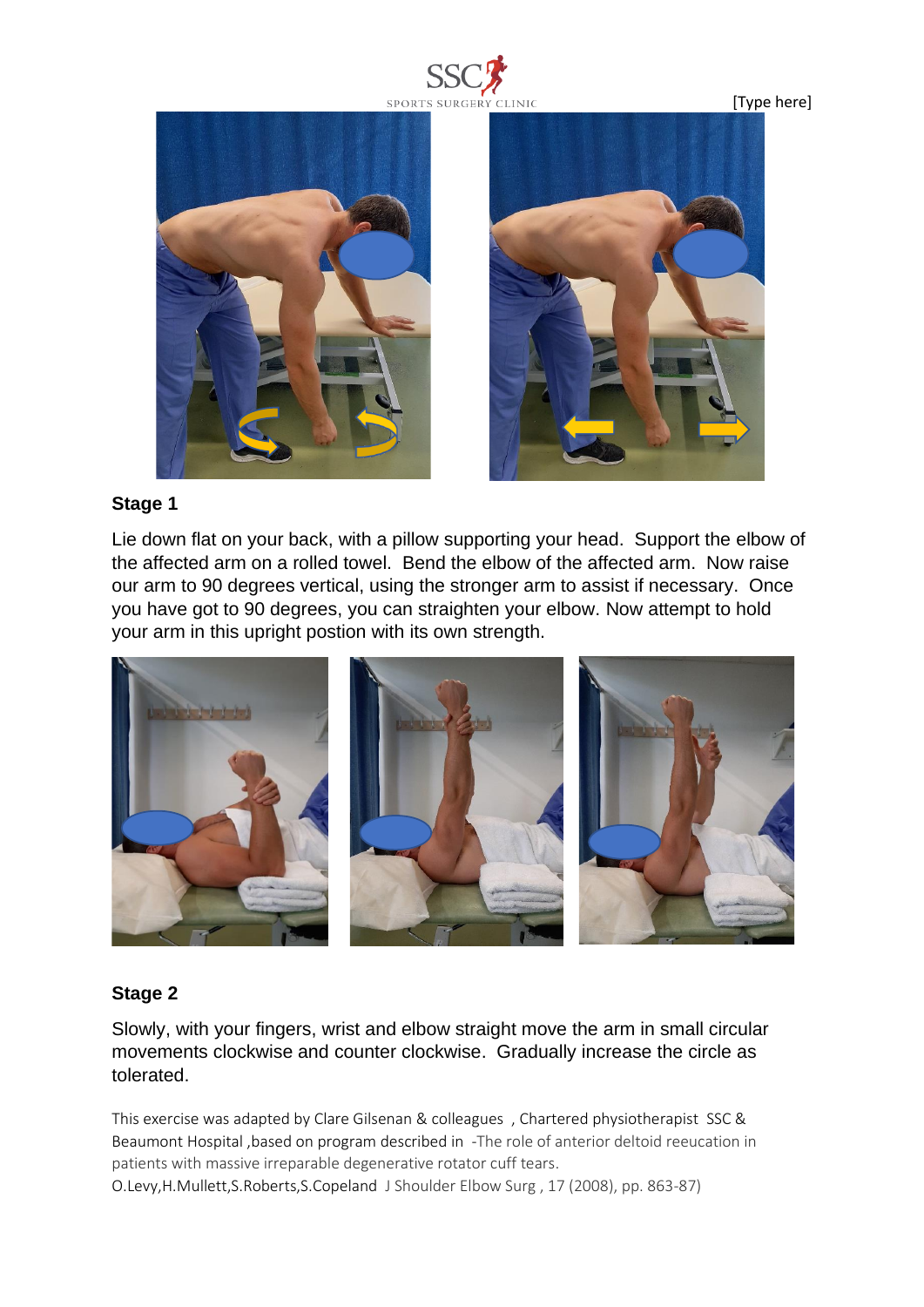

[Type here]





#### **Stage 1**

Lie down flat on your back, with a pillow supporting your head. Support the elbow of the affected arm on a rolled towel. Bend the elbow of the affected arm. Now raise our arm to 90 degrees vertical, using the stronger arm to assist if necessary. Once you have got to 90 degrees, you can straighten your elbow. Now attempt to hold your arm in this upright postion with its own strength.



## **Stage 2**

Slowly, with your fingers, wrist and elbow straight move the arm in small circular movements clockwise and counter clockwise. Gradually increase the circle as tolerated.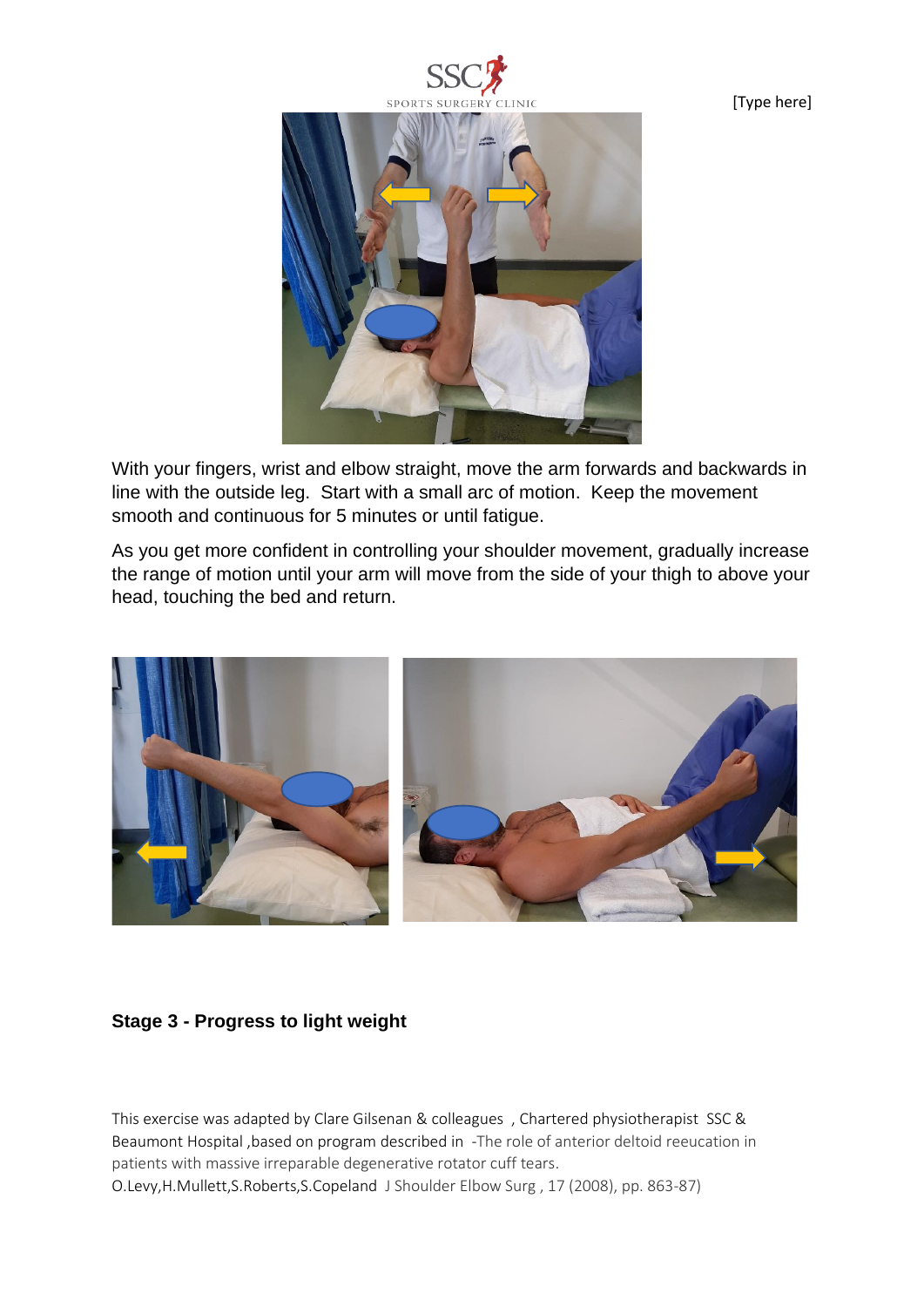



With your fingers, wrist and elbow straight, move the arm forwards and backwards in line with the outside leg. Start with a small arc of motion. Keep the movement smooth and continuous for 5 minutes or until fatigue.

As you get more confident in controlling your shoulder movement, gradually increase the range of motion until your arm will move from the side of your thigh to above your head, touching the bed and return.



## **Stage 3 - Progress to light weight**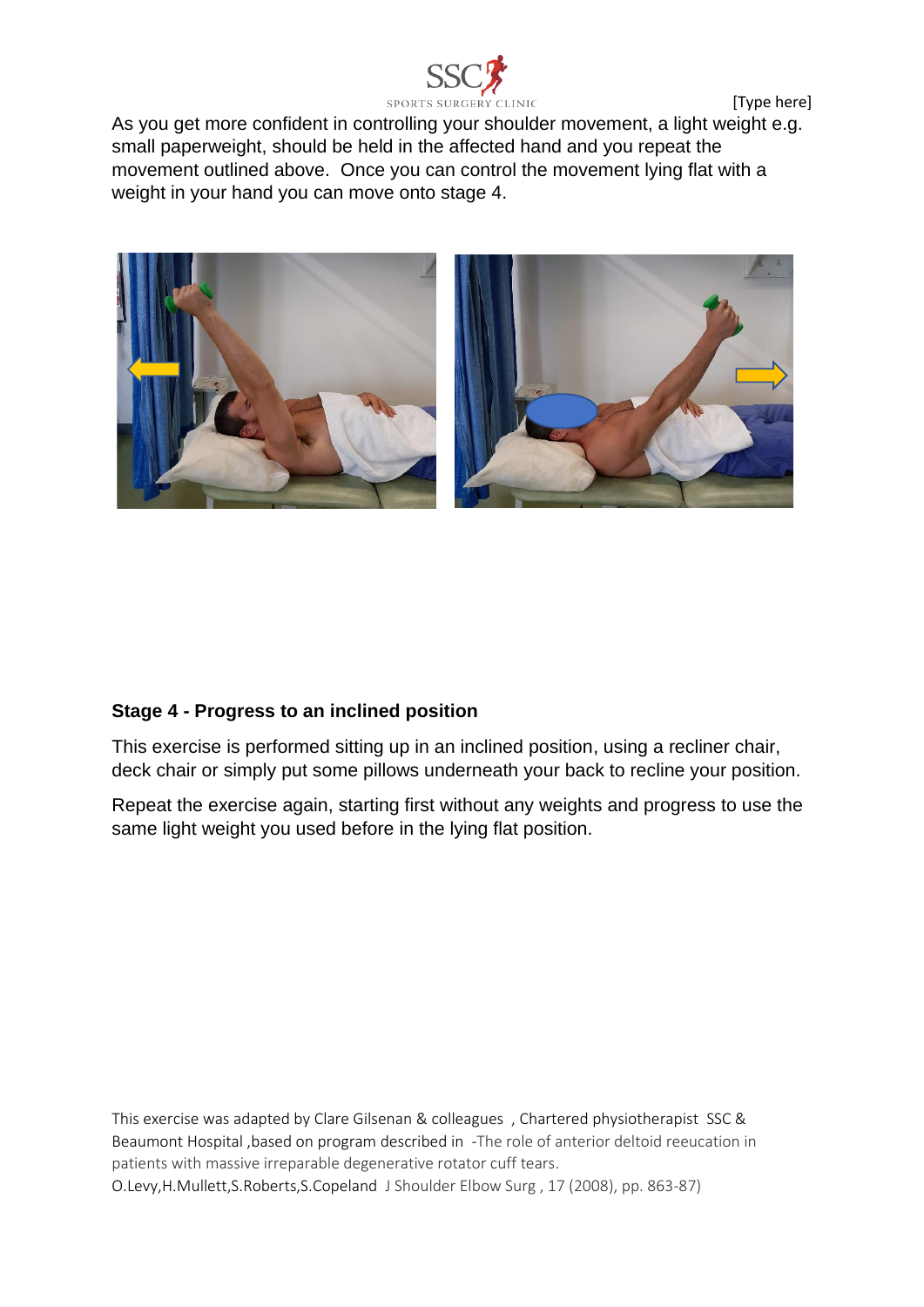[Type here]



As you get more confident in controlling your shoulder movement, a light weight e.g. small paperweight, should be held in the affected hand and you repeat the movement outlined above. Once you can control the movement lying flat with a weight in your hand you can move onto stage 4.



## **Stage 4 - Progress to an inclined position**

This exercise is performed sitting up in an inclined position, using a recliner chair, deck chair or simply put some pillows underneath your back to recline your position.

Repeat the exercise again, starting first without any weights and progress to use the same light weight you used before in the lying flat position.